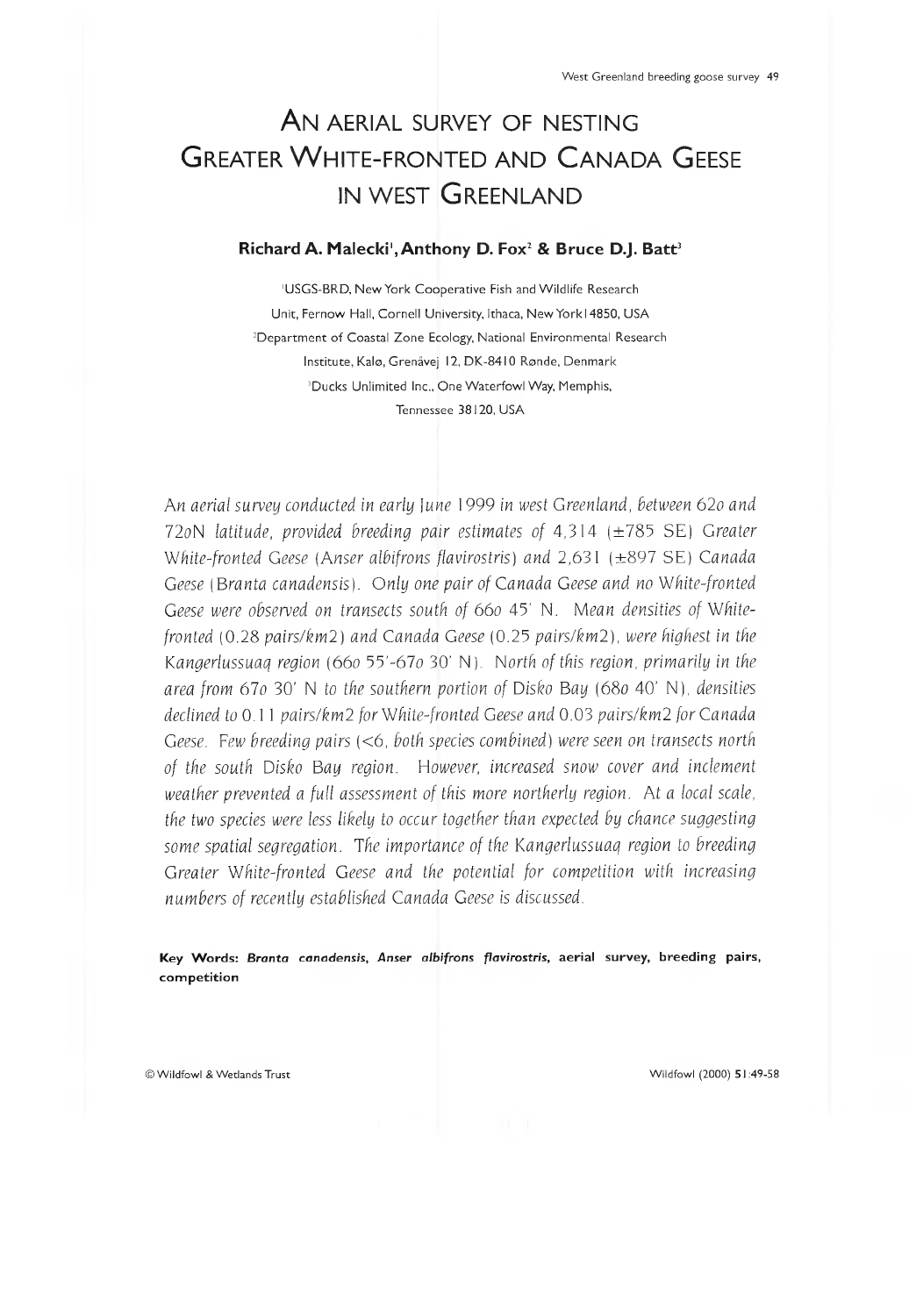# AN AERIAL SURVEY OF NESTING GREATER WHITE-FRONTED AND CANADA GEESE IN WEST GREENLAND

#### Richard A. Malecki<sup>1</sup>, Anthony D. Fox<sup>2</sup> & Bruce D.J. Batt<sup>3</sup>

'USGS-BRD, New York Cooperative Fish and Wildlife Research Unit, Fernow Hall, Cornell University, Ithaca, New York 14850, USA <sup>2</sup>Department of Coastal Zone Ecology, National Environmental Research Institute, Kalo, Grenâvej 12, DK-8410 Ronde, Denmark <sup>3</sup>Ducks Unlimited Inc., One Waterfowl Way, Memphis, Tennessee 38120, USA

*An aerial survey conducted in early lune* 1999 *in west Greenland, between 62o and* 72oN *latitude, provided breeding pair estimates of* 4,314 (±785 SE) *Greater White-fronted Geese (Anser albifrons flavirostris) and* 2,631 (±897 SE) *Canada Geese (Branta canadensis). Only one pair of Canada Geese and no White-fronted* Geese were observed on transects south of 660 45' N. Mean densities of White*fronted* (0.28 *pairs/km2) and Canada Geese* (0.25 *pairs/km2), were highest in the Kangerlussuaq region (660* 55'-67*0* 30' N). *North of this region, primarily in the area from 610* 30' N *to the southern portion of Disko Bay* (680 40' N), *densities declined to* 0.11 *pairs/km2 for White-fronted Geese and* 0.03 *pairs/km2 for Canada Geese. Few breeding pairs* (<6, *both species combined) were seen on transects north of the south Disko Bay region. However, increased snow cover and inclement weather prevented a full assessment of this more northerly region. At a local scale, the two species were less likely to occur together than expected by chance suggesting some spatial segregation. The importance of the Kangerlussuaq region to breeding Greater White-fronted Geese and the potential for competition with increasing numbers of recently established Canada Geese is discussed.*

**Key W ords:** *Branta canadensis, Anser albifrons flavirostris***, aerial survey, breeding pairs, com petition**

© Wildfowl & Wetlands Trust Wildfowl (2000) 5 1:49-58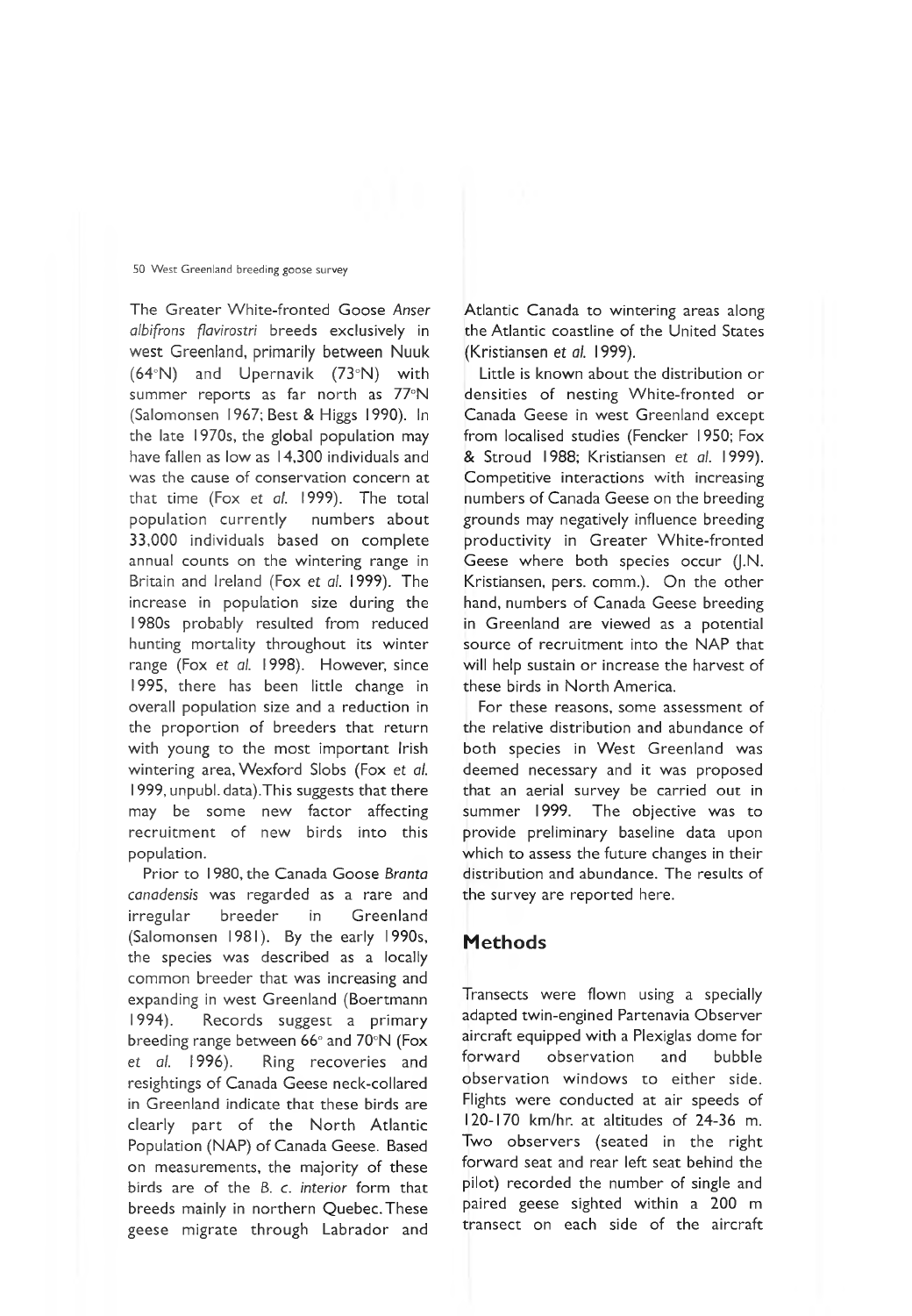The Greater White-fronted Goose *Anser albifrons fiavirostri* breeds exclusively in west Greenland, primarily between Nuuk (64°N) and Upernavik (73°N) with summer reports as far north as 77°N (Salomonsen 1967; Best & Higgs 1990). In the late 1970s, the global population may have fallen as low as 14,300 individuals and was the cause of conservation concern at that time (Fox et al. 1999). The total population currently numbers about 33,000 individuals based on complete annual counts on the wintering range in Britain and Ireland (Fox *et al.* 1999). The increase in population size during the 1980s probably resulted from reduced hunting mortality throughout its winter range (Fox et *al.* 1998). However, since 1995, there has been little change in overall population size and a reduction in the proportion of breeders that return with young to the most important Irish wintering area, Wexford Slobs (Fox et *al.* 1999, unpubl. data).This suggests that there may be some new factor affecting recruitment of new birds into this population.

Prior to 1980, the Canada Goose *Branta canadensis* was regarded as a rare and irregular breeder in Greenland (Salomonsen 1981). By the early 1990s, the species was described as a locally common breeder that was increasing and expanding in west Greenland (Boertmann 1994). Records suggest a primary breeding range between 66° and 70°N (Fox et *al.* 1996). Ring recoveries and resightings of Canada Geese neck-collared in Greenland indicate that these birds are clearly part of the North Atlantic Population (NAP) of Canada Geese. Based on measurements, the majority of these birds are of the *B. c. interior* form that breeds mainly in northern Quebec. These geese migrate through Labrador and Atlantic Canada to wintering areas along the Atlantic coastline of the United States (Kristiansen et *al.* 1999).

Little is known about the distribution or densities of nesting White-fronted or Canada Geese in west Greenland except from localised studies (Fencker 1950; Fox & Stroud 1988; Kristiansen et *al.* 1999). Competitive interactions with increasing numbers of Canada Geese on the breeding grounds may negatively influence breeding productivity in Greater White-fronted Geese where both species occur (J.N. Kristiansen, pers. comm.). On the other hand, numbers of Canada Geese breeding in Greenland are viewed as a potential source of recruitment into the NAP that will help sustain or increase the harvest of these birds in North America.

For these reasons, some assessment of the relative distribution and abundance of both species in West Greenland was deemed necessary and it was proposed that an aerial survey be carried out in summer 1999. The objective was to provide preliminary baseline data upon which to assess the future changes in their distribution and abundance. The results of the survey are reported here.

## **M ethods**

Transects were flown using a specially adapted twin-engined Partenavia Observer aircraft equipped with a Plexiglas dome for forward observation and bubble observation windows to either side. Flights were conducted at air speeds of 120-170 km/hr. at altitudes of 24-36 m. Two observers (seated in the right forward seat and rear left seat behind the pilot) recorded the number of single and paired geese sighted within a 200 m transect on each side of the aircraft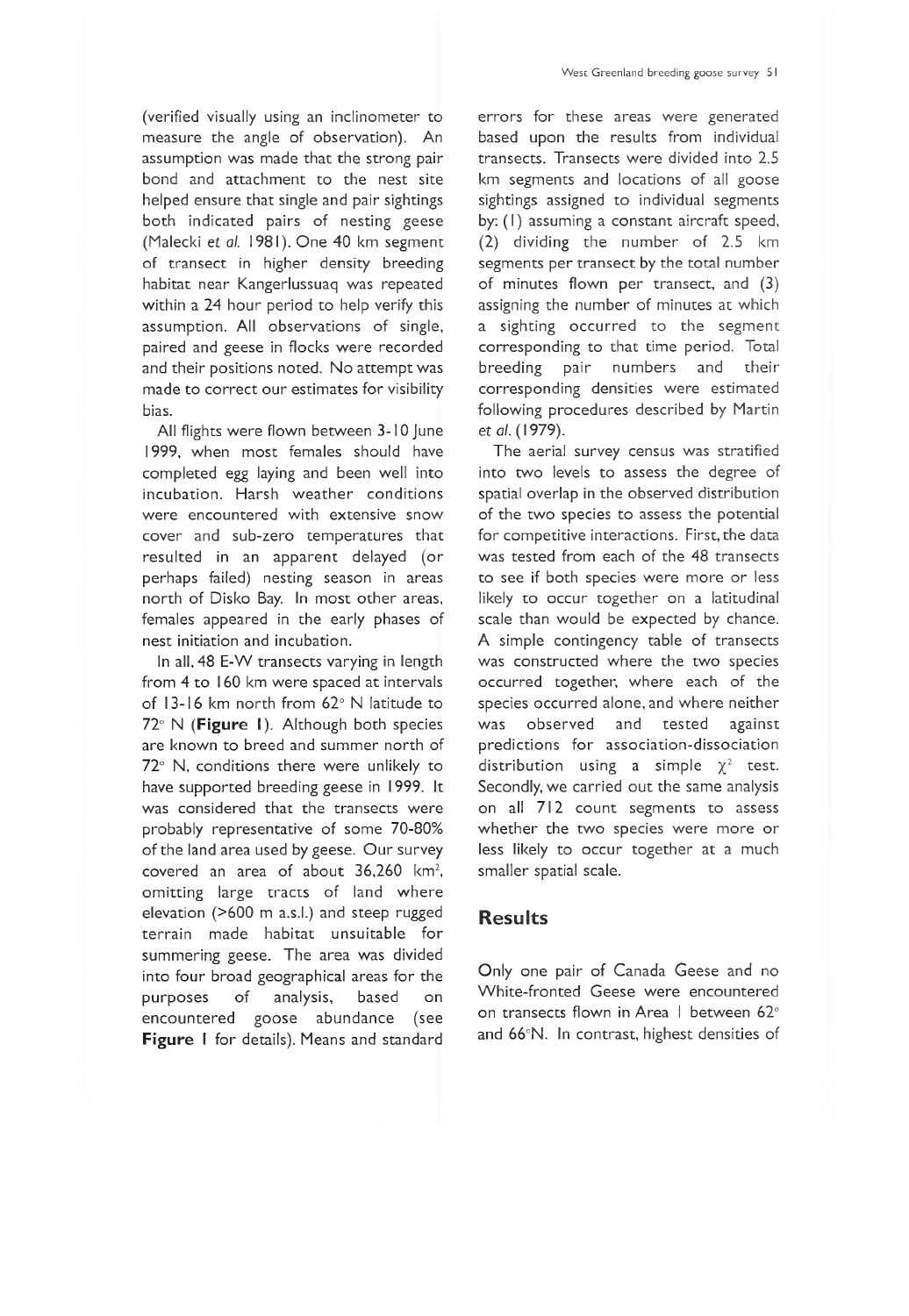(verified visually using an inclinometer to measure the angle of observation). An assumption was made that the strong pair bond and attachment to the nest site helped ensure that single and pair sightings both indicated pairs of nesting geese (Malecki et al. 1981). One 40 km segment of transect in higher density breeding habitat near Kangerlussuaq was repeated within a 24 hour period to help verify this assumption. All observations of single, paired and geese in flocks were recorded and their positions noted. No attempt was made to correct our estimates for visibility bias.

All flights were flown between 3-10 June 1999, when most females should have completed egg laying and been well into incubation. Harsh weather conditions were encountered with extensive snow cover and sub-zero temperatures that resulted in an apparent delayed (or perhaps failed) nesting season in areas north of Disko Bay. In most other areas, females appeared in the early phases of nest initiation and incubation.

In all, 48 E-W transects varying in length from 4 to 160 km were spaced at intervals of 13-16 km north from 62° N latitude to 72° N (Figure I). Although both species are known to breed and summer north of 72° N, conditions there were unlikely to have supported breeding geese in 1999. It was considered that the transects were probably representative of some 70-80% of the land area used by geese. Our survey covered an area of about  $36,260$  km<sup>2</sup>, omitting large tracts of land where elevation (>600 m a.s.I.) and steep rugged terrain made habitat unsuitable for summering geese. The area was divided into four broad geographical areas for the purposes of analysis, based on encountered goose abundance (see Figure I for details). Means and standard errors for these areas were generated based upon the results from individual transects. Transects were divided into 2.5 km segments and locations of all goose sightings assigned to individual segments by: (I) assuming a constant aircraft speed, (2) dividing the number of 2.5 km segments per transect by the total number of minutes flown per transect, and (3) assigning the number of minutes at which a sighting occurred to the segment corresponding to that time period. Total breeding pair numbers and their corresponding densities were estimated following procedures described by Martin et *al.* (1979).

The aerial survey census was stratified into two levels to assess the degree of spatial overlap in the observed distribution of the two species to assess the potential for competitive interactions. First, the data was tested from each of the 48 transects to see if both species were more or less likely to occur together on a latitudinal scale than would be expected by chance. A simple contingency table of transects was constructed where the two species occurred together, where each of the species occurred alone, and where neither was observed and tested against predictions for association-dissociation distribution using a simple  $\chi^2$  test. Secondly, we carried out the same analysis on all 712 count segments to assess whether the two species were more or less likely to occur together at a much smaller spatial scale.

### **Results**

Only one pair of Canada Geese and no White-fronted Geese were encountered on transects flown in Area I between 62° and 66°N. In contrast, highest densities of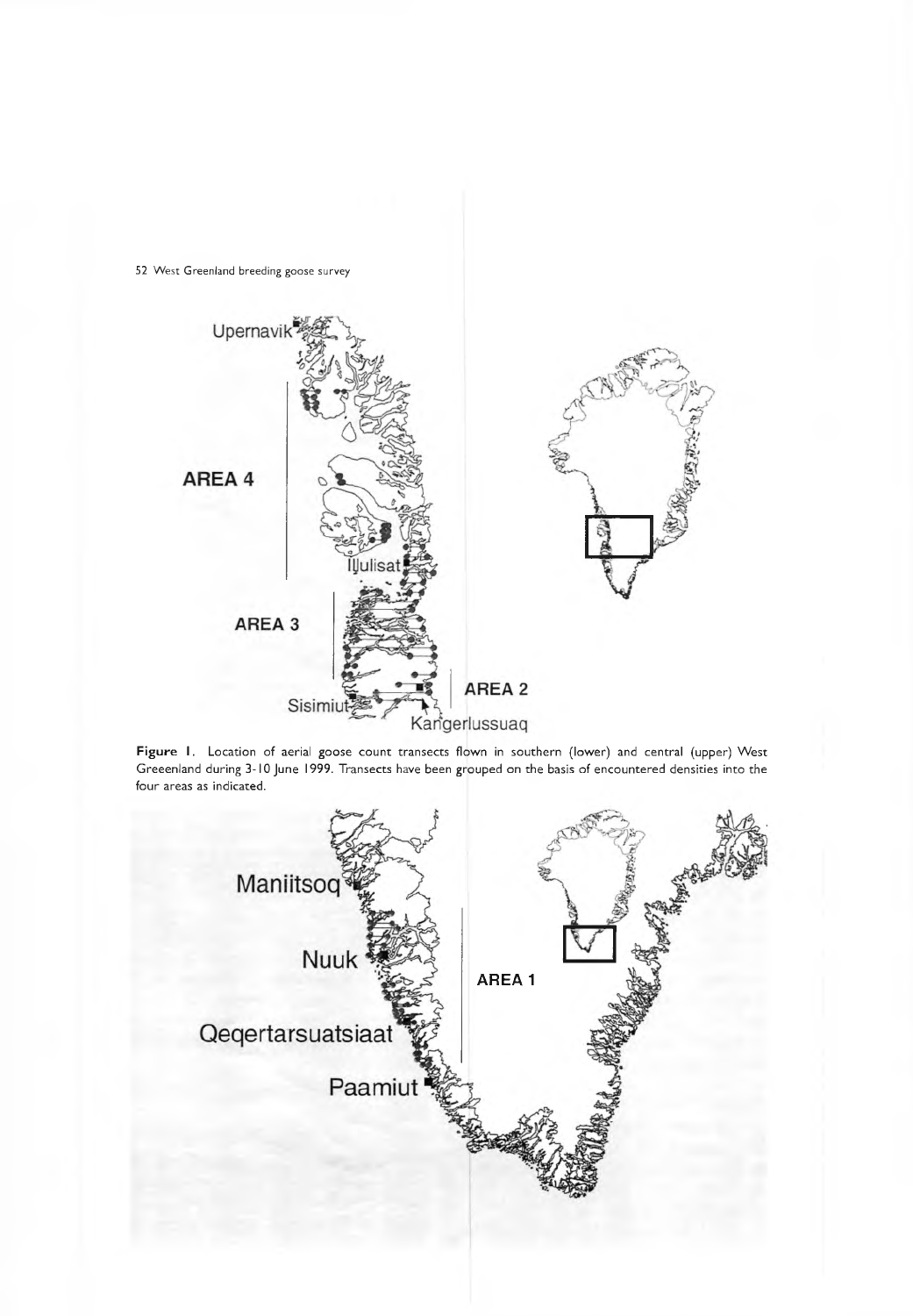

Figure I. Location of aerial goose count transects flown in southern (lower) and central (upper) West Greeenland during 3-10 June 1999. Transects have been grouped on the basis of encountered densities into the four areas as indicated.

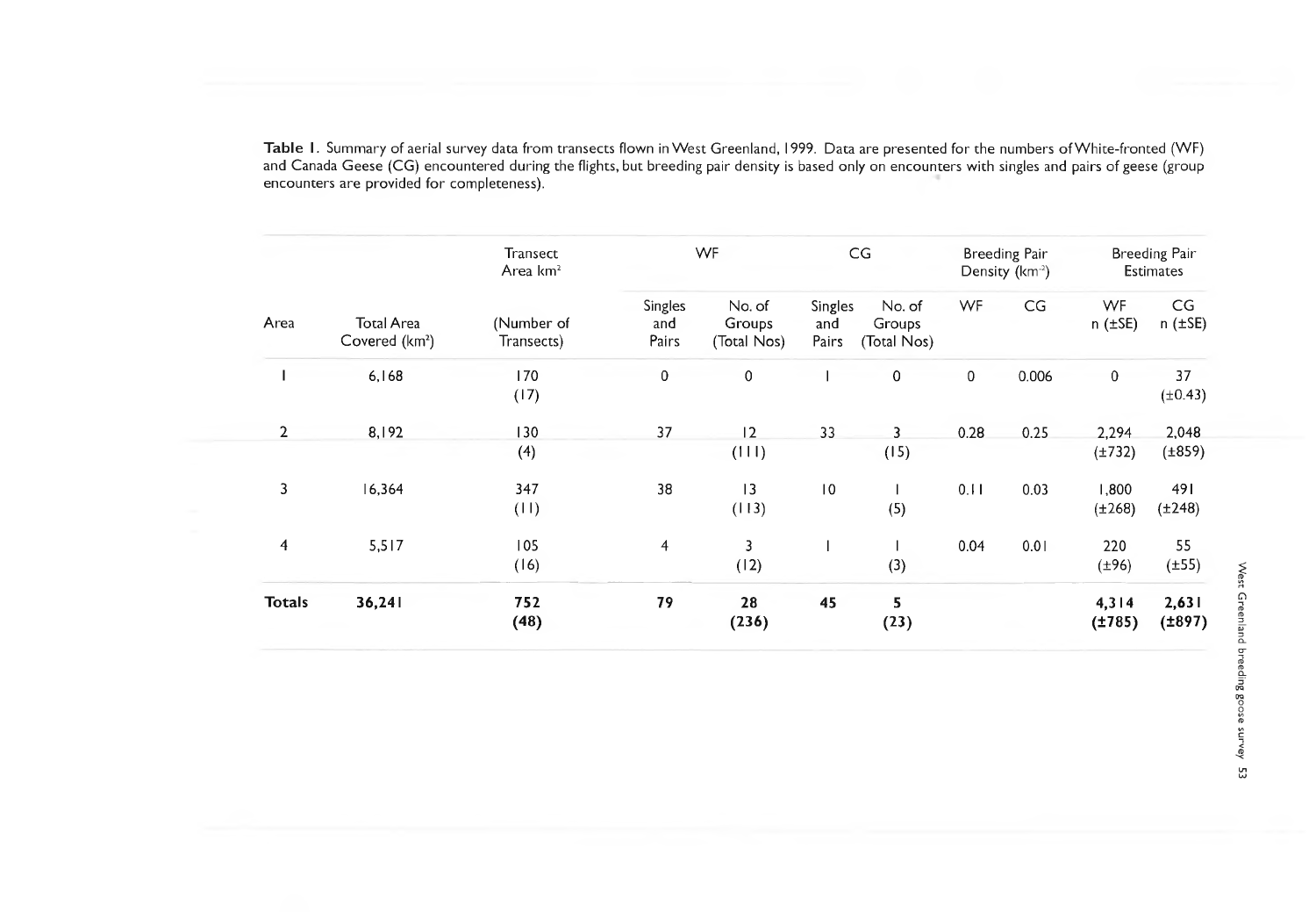**T a b le I** . Summary of aerial survey data from transects flown in West Greenland, **1**999. Data are presented for the numbers of White-fronted (WF) and Canada Geese (CG) encountered during the flights, but breeding pair density is based only on encounters with singles and pairs of geese (group encounters are provided for completeness).

| Area           | <b>Total Area</b><br>Covered (km <sup>2</sup> ) | <b>Transect</b><br>Area km <sup>2</sup><br>(Number of<br>Transects) | WF                      |                                 | CG                      |                                 | Breeding Pair<br>Density (km <sup>-2</sup> ) |                          | <b>Breeding Pair</b><br><b>Estimates</b> |                       |
|----------------|-------------------------------------------------|---------------------------------------------------------------------|-------------------------|---------------------------------|-------------------------|---------------------------------|----------------------------------------------|--------------------------|------------------------------------------|-----------------------|
|                |                                                 |                                                                     | Singles<br>and<br>Pairs | No. of<br>Groups<br>(Total Nos) | Singles<br>and<br>Pairs | No. of<br>Groups<br>(Total Nos) | <b>WF</b>                                    | $\mathsf{CG}\phantom{.}$ | <b>WF</b><br>$n$ ( $\pm$ SE)             | CG<br>$n$ ( $\pm$ SE) |
|                | 6,168                                           | 170<br>(17)                                                         | $\mathbf 0$             | $\pmb{0}$                       |                         | 0                               | $\mathbf 0$                                  | 0.006                    | $\mathbf 0$                              | 37<br>$(\pm 0.43)$    |
| $\overline{2}$ | 8,192                                           | 130<br>(4)                                                          | 37                      | 2<br>(111)                      | 33                      | 3<br>(15)                       | 0.28                                         | 0.25                     | 2,294<br>$(\pm 732)$                     | 2,048<br>$(\pm 859)$  |
| 3              | 16,364                                          | 347<br>(11)                                                         | 38                      | 13<br>(113)                     | 10                      | (5)                             | 0.11                                         | 0.03                     | 1,800<br>$(\pm 268)$                     | 491<br>$(\pm 248)$    |
| 4              | 5,517                                           | 105<br>(16)                                                         | $\overline{4}$          | 3<br>(12)                       |                         | (3)                             | 0.04                                         | 0.01                     | 220<br>$(\pm 96)$                        | 55<br>$(\pm 55)$      |
| <b>Totals</b>  | 36,241                                          | 752<br>(48)                                                         | 79                      | 28<br>(236)                     | 45                      | 5<br>(23)                       |                                              |                          | 4,314<br>(1785)                          | 2,631<br>(1897)       |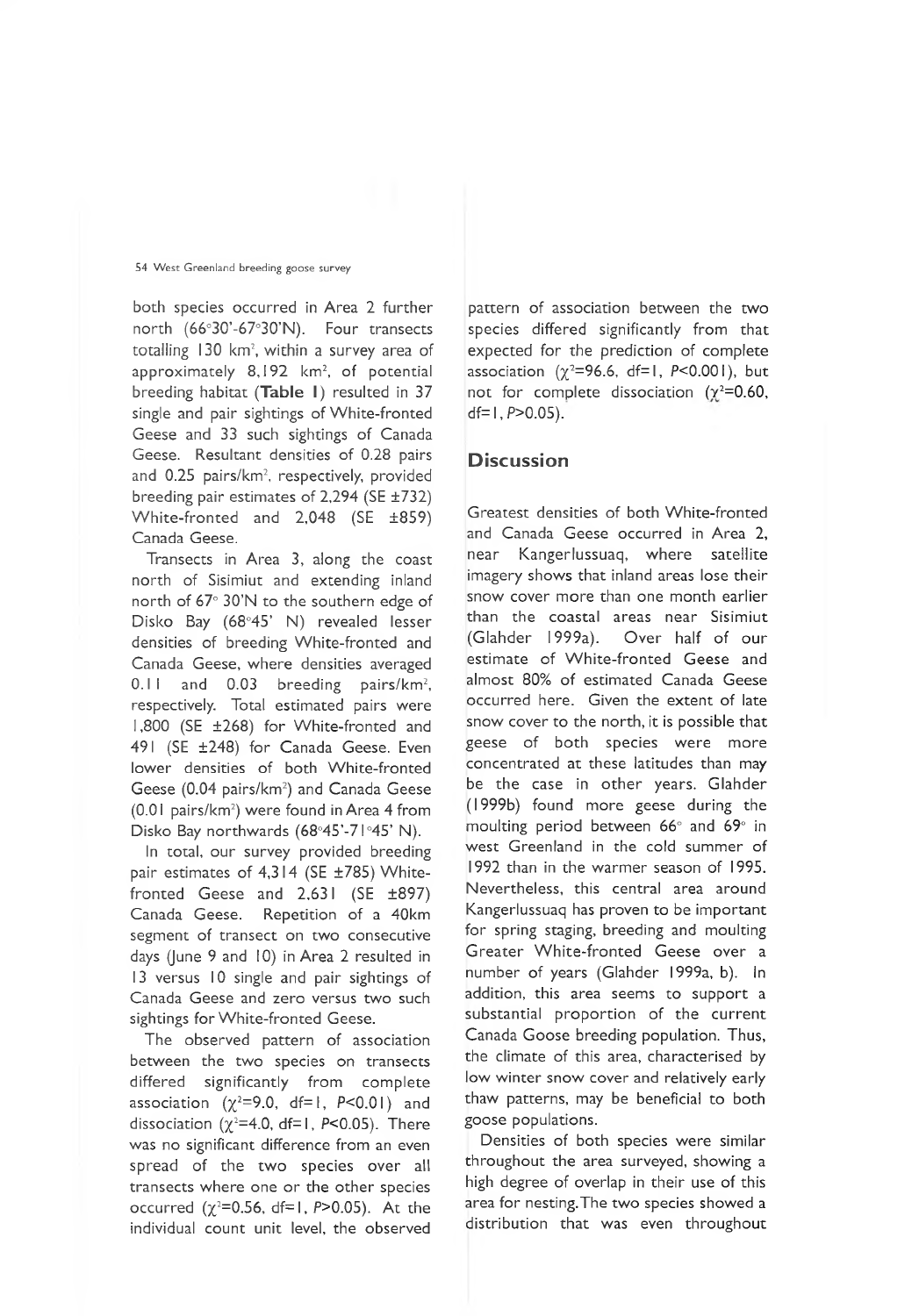both species occurred in Area 2 further north (66°30'-67°30'N). Four transects totalling 130 km<sup>2</sup>, within a survey area of approximately 8,192 km<sup>2</sup>, of potential breeding habitat (Table I) resulted in 37 single and pair sightings of White-fronted Geese and 33 such sightings of Canada Geese. Resultant densities of 0.28 pairs and 0.25 pairs/km<sup>2</sup>, respectively, provided breeding pair estimates of 2,294 (SE ±732) White-fronted and 2,048 (SE ±859) Canada Geese.

Transects in Area 3, along the coast north of Sisimiut and extending inland north of 67° 30'N to the southern edge of Disko Bay (68°45' N) revealed lesser densities of breeding White-fronted and Canada Geese, where densities averaged  $0.11$  and  $0.03$  breeding pairs/km<sup>2</sup>, respectively. Total estimated pairs were 1,800 (SE ±268) for White-fronted and 491 (SE ±248) for Canada Geese. Even lower densities of both White-fronted Geese (0.04 pairs/km<sup>2</sup>) and Canada Geese (0.01 pairs/km2) were found in Area 4 from Disko Bay northwards (68°45'-71°45' N).

In total, our survey provided breeding pair estimates of  $4,314$  (SE  $\pm 785$ ) Whitefronted Geese and 2,631 (SE ±897) Canada Geese. Repetition of a 40km segment of transect on two consecutive days (June 9 and 10) in Area 2 resulted in 13 versus 10 single and pair sightings of Canada Geese and zero versus two such sightings for White-fronted Geese.

The observed pattern of association between the two species on transects differed significantly from complete association  $(\chi^2=9.0, df=1, P<0.01)$  and dissociation ( $\chi^2$ =4.0, df=1, P<0.05). There was no significant difference from an even spread of the two species over all transects where one or the other species occurred  $(\chi^2=0.56, df=1, P>0.05)$ . At the individual count unit level, the observed

pattern of association between the two species differed significantly from that expected for the prediction of complete association  $(\gamma^2=96.6, df=1, P<0.001)$ , but not for complete dissociation  $(\gamma^2=0.60,$  $df= 1. P>0.05$ ).

## **D iscussion**

Greatest densities of both White-fronted and Canada Geese occurred in Area 2, near Kangerlussuaq, where satellite imagery shows that inland areas lose their snow cover more than one month earlier than the coastal areas near Sisimiut (Glahder 1999a). Over half of our estimate of White-fronted Geese and almost 80% of estimated Canada Geese occurred here. Given the extent of late snow cover to the north, it is possible that geese of both species were more concentrated at these latitudes than may be the case in other years. Glahder (1999b) found more geese during the moulting period between 66° and 69° in west Greenland in the cold summer of 1992 than in the warmer season of 1995. Nevertheless, this central area around Kangerlussuaq has proven to be important for spring staging, breeding and moulting Greater White-fronted Geese over a number of years (Glahder 1999a, b). In addition, this area seems to support a substantial proportion of the current Canada Goose breeding population. Thus, the climate of this area, characterised by low winter snow cover and relatively early thaw patterns, may be beneficial to both goose populations.

Densities of both species were similar throughout the area surveyed, showing a high degree of overlap in their use of this area for nesting.The two species showed a distribution that was even throughout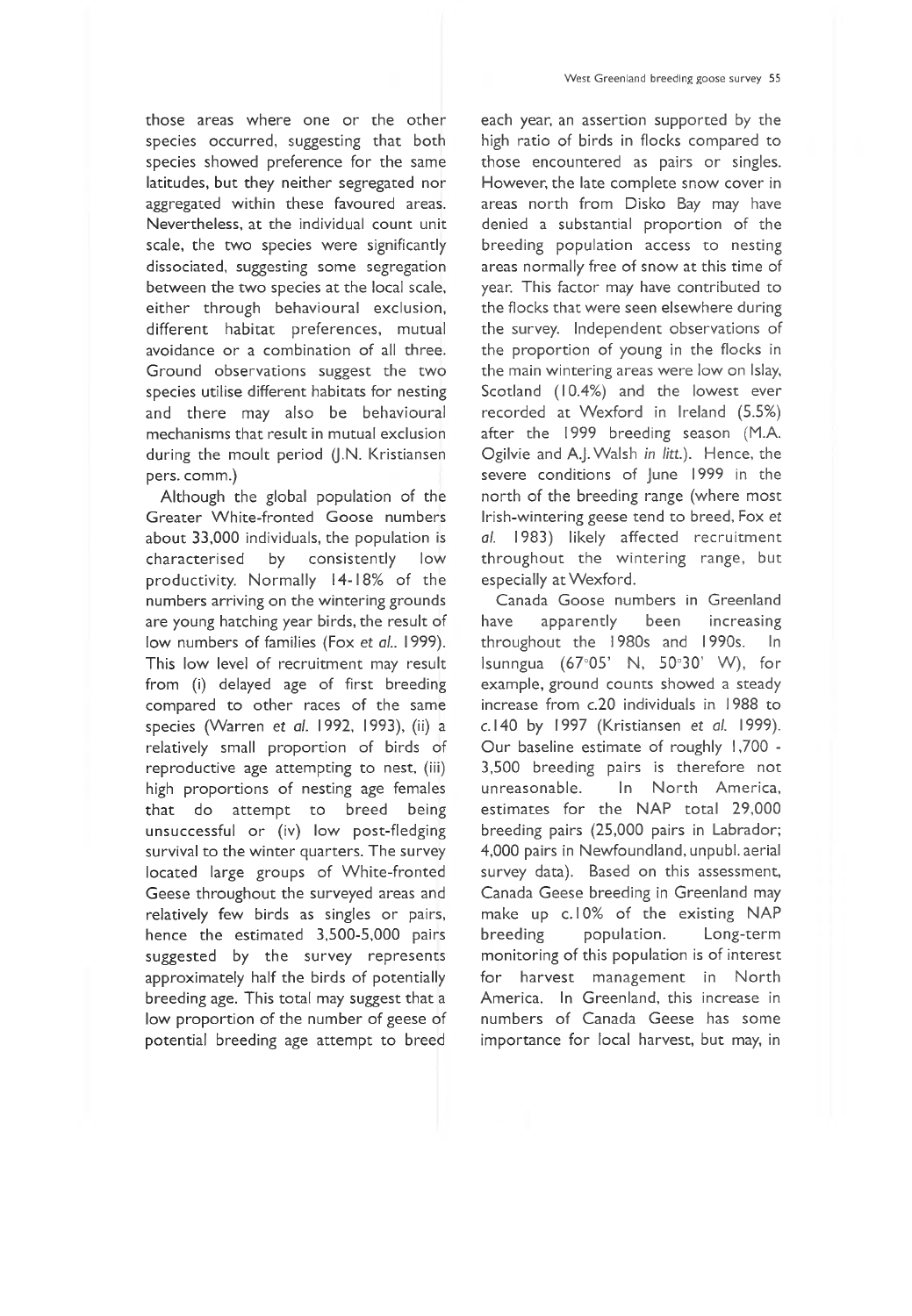those areas where one or the other species occurred, suggesting that both species showed preference for the same latitudes, but they neither segregated nor aggregated within these favoured areas. Nevertheless, at the individual count unit scale, the two species were significantly dissociated, suggesting some segregation between the two species at the local scale, either through behavioural exclusion, different habitat preferences, mutual avoidance or a combination of all three. Ground observations suggest the two species utilise different habitats for nesting and there may also be behavioural mechanisms that result in mutual exclusion during the moult period (J.N. Kristiansen pers, comm.)

Although the global population of the Greater White-fronted Goose numbers about 33,000 individuals, the population is characterised by consistently low productivity. Normally 14-18% of the numbers arriving on the wintering grounds are young hatching year birds, the result of low numbers of families (Fox et *al..* 1999). This low level of recruitment may result from (i) delayed age of first breeding compared to other races of the same species (Warren et *al.* 1992, 1993), (ii) a relatively small proportion of birds of reproductive age attempting to nest, (iii) high proportions of nesting age females that do attempt to breed being unsuccessful or (iv) low post-fledging survival to the winter quarters. The survey located large groups of White-fronted Geese throughout the surveyed areas and relatively few birds as singles or pairs, hence the estimated 3,500-5,000 pairs suggested by the survey represents approximately half the birds of potentially breeding age. This total may suggest that a low proportion of the number of geese of potential breeding age attempt to breed each year, an assertion supported by the high ratio of birds in flocks compared to those encountered as pairs or singles. However, the late complete snow cover in areas north from Disko Bay may have denied a substantial proportion of the breeding population access to nesting areas normally free of snow at this time of year. This factor may have contributed to the flocks that were seen elsewhere during the survey. Independent observations of the proportion of young in the flocks in the main wintering areas were low on Islay, Scotland (10.4%) and the lowest ever recorded at Wexford in Ireland (5.5%) after the 1999 breeding season (M.A. Ogilvie and A.J. Walsh *in litt.).* Hence, the severe conditions of June 1999 in the north of the breeding range (where most Irish-wintering geese tend to breed, Fox et *al.* 1983) likely affected recruitment throughout the wintering range, but especially at Wexford.

Canada Goose numbers in Greenland have apparently been increasing throughout the 1980s and 1990s. In Isunngua (67°05' N, 50°30' W ), for example, ground counts showed a steady increase from c.20 individuals in 1988 to c. 140 by 1997 (Kristiansen et *al.* 1999). Our baseline estimate of roughly 1,700 - 3,500 breeding pairs is therefore not unreasonable. In North America, estimates for the NAP total 29,000 breeding pairs (25,000 pairs in Labrador; 4,000 pairs in Newfoundland, unpubl. aerial survey data). Based on this assessment, Canada Geese breeding in Greenland may make up c.10% of the existing NAP breeding population. Long-term monitoring of this population is of interest for harvest management in North America. In Greenland, this increase in numbers of Canada Geese has some importance for local harvest, but may, in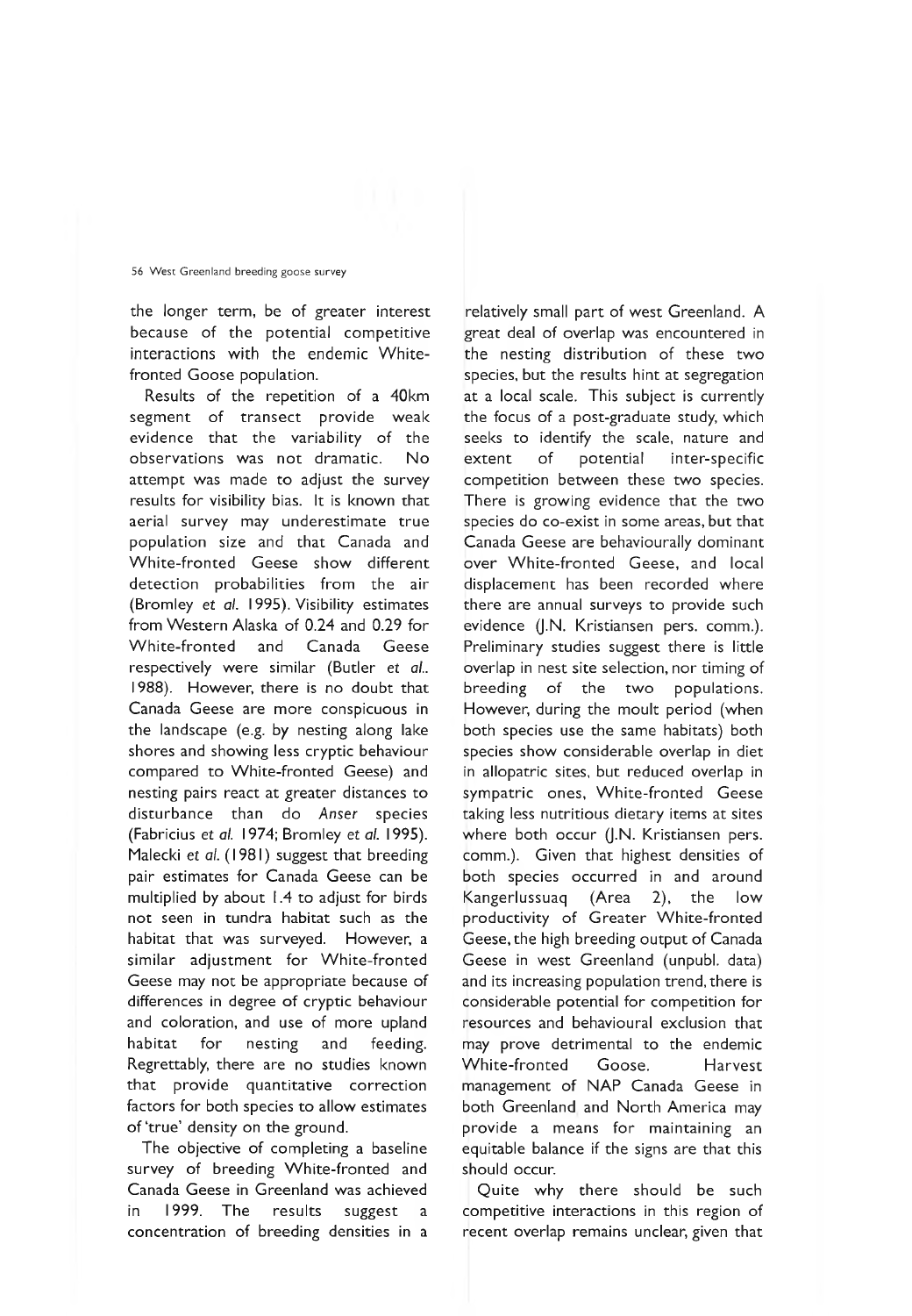the longer term, be of greater interest because of the potential competitive interactions with the endemic Whitefronted Goose population.

Results of the repetition of a 40km segment of transect provide weak evidence that the variability of the observations was not dramatic. No attempt was made to adjust the survey results for visibility bias. It is known that aerial survey may underestimate true population size and that Canada and White-fronted Geese show different detection probabilities from the air (Bromley et *al.* 1995). Visibility estimates from Western Alaska of 0.24 and 0.29 for White-fronted and Canada Geese respectively were similar (Butler *et al..* 1988). However, there is no doubt that Canada Geese are more conspicuous in the landscape (e.g. by nesting along lake shores and showing less cryptic behaviour compared to White-fronted Geese) and nesting pairs react at greater distances to disturbance than do *Anser* species (Fabricius et *al.* 1974; Bromley et *al.* 1995). Malecki et *al.* (1981) suggest that breeding pair estimates for Canada Geese can be multiplied by about 1.4 to adjust for birds not seen in tundra habitat such as the habitat that was surveyed. However, a similar adjustment for White-fronted Geese may not be appropriate because of differences in degree of cryptic behaviour and coloration, and use of more upland habitat for nesting and feeding. Regrettably, there are no studies known that provide quantitative correction factors for both species to allow estimates of 'true' density on the ground.

The objective of completing a baseline survey of breeding White-fronted and Canada Geese in Greenland was achieved in 1999. The results suggest a concentration of breeding densities in a

relatively small part of west Greenland. A great deal of overlap was encountered in the nesting distribution of these two species, but the results hint at segregation at a local scale. This subject is currently the focus of a post-graduate study, which seeks to identify the scale, nature and extent of potential inter-specific competition between these two species. There is growing evidence that the two species do co-exist in some areas, but that Canada Geese are behaviourally dominant over White-fronted Geese, and local displacement has been recorded where there are annual surveys to provide such evidence (J.N. Kristiansen pers. comm.). Preliminary studies suggest there is little overlap in nest site selection, nor timing of breeding of the two populations. However, during the moult period (when both species use the same habitats) both species show considerable overlap in diet in allopatric sites, but reduced overlap in sympatric ones, White-fronted Geese taking less nutritious dietary items at sites where both occur (J.N. Kristiansen pers. comm.). Given that highest densities of both species occurred in and around Kangerlussuaq (Area 2), the low productivity of Greater White-fronted Geese, the high breeding output of Canada Geese in west Greenland (unpubl. data) and its increasing population trend, there is considerable potential for competition for resources and behavioural exclusion that may prove detrimental to the endemic White-fronted Goose. Harvest management of NAP Canada Geese in both Greenland and North America may provide a means for maintaining an equitable balance if the signs are that this should occur.

Quite why there should be such competitive interactions in this region of recent overlap remains unclear, given that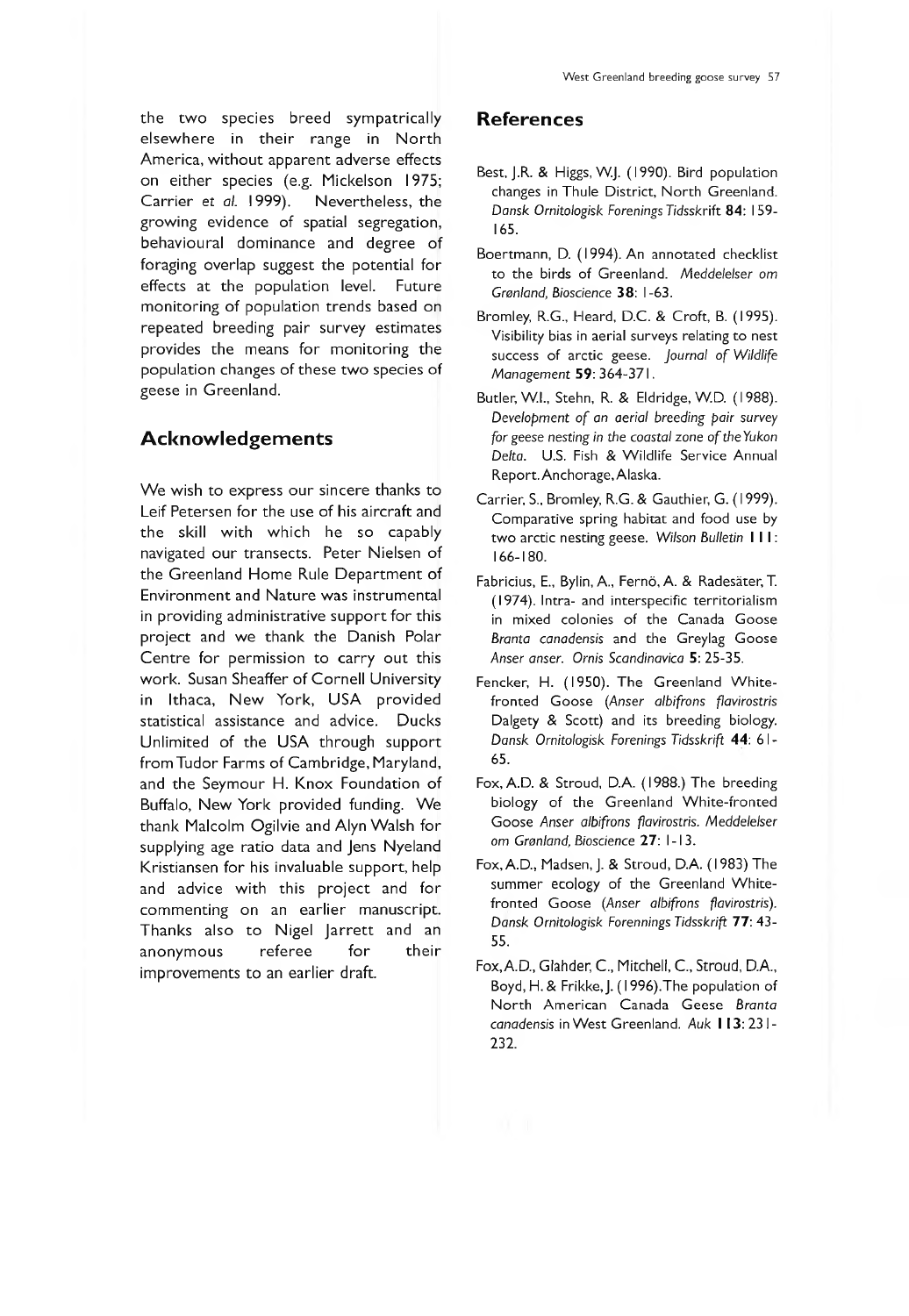elsewhere in their range in North America, without apparent adverse effects on either species (e.g. Mickelson 1975; Carrier *et al.* 1999). Nevertheless, the growing evidence of spatial segregation, behavioural dominance and degree of foraging overlap suggest the potential for effects at the population level. Future monitoring of population trends based on repeated breeding pair survey estimates provides the means for monitoring the population changes of these two species of geese in Greenland.

## **A ckn o w led gem en ts**

We wish to express our sincere thanks to Leif Petersen for the use of his aircraft and the skill with which he so capably navigated our transects. Peter Nielsen of the Greenland Home Rule Department of Environment and Nature was instrumental in providing administrative support for this project and we thank the Danish Polar Centre for permission to carry out this work. Susan Sheaffer of Cornell University in Ithaca, New York, USA provided statistical assistance and advice. Ducks Unlimited of the USA through support from Tudor Farms of Cambridge, Maryland, and the Seymour H. Knox Foundation of Buffalo, New York provided funding. We thank Malcolm Ogilvie and Alyn Walsh for supplying age ratio data and Jens Nyeland Kristiansen for his invaluable support, help and advice with this project and for commenting on an earlier manuscript. Thanks also to Nigel Jarrett and an anonymous referee for their improvements to an earlier draft.

- Best, J.R. & Higgs, W.J. (1990). Bird population changes in Thule District, North Greenland. *Dansk Ornitologisk Forenings Tidsskrift* 84: 159- 165.
- Boertmann, D. (1994). An annotated checklist to the birds of Greenland. *Meddelelser om Grönland, Bioscience* 38: 1-63.
- Bromley, R.G., Heard, D.C. & Croft, B. (1995). Visibility bias in aerial surveys relating to nest success of arctic geese. *Journal of Wildlife Management* 59: 364-371.
- Butler, W.I., Stehn, R. & Eldridge, W.D. (1988). *Development of an aerial breeding pair survey for geese nesting in the coastal zone of the Yukon Delta.* U.S. Fish & Wildlife Service Annual Report. Anchorage, Alaska.
- Carrier, S., Bromley, R.G. & Gauthier, G. (1999). Comparative spring habitat and food use by two arctic nesting geese. *Wilson Bulletin* I I I : 166-180.
- Fabricius, E., Bylin, A., Fernö, A. & Radesäter, T. (1974). Intra- and interspecific territorialism in mixed colonies of the Canada Goose *Branta canadensis* and the Greylag Goose *Anser anser. Ornis Scandinavica* 5: 25-35.
- Fencker, H. (1950). The Greenland Whitefronted Goose (*Anser albifrons flavirostris* Dalgety & Scott) and its breeding biology. *Dansk Ornitologisk Forenings Tidsskrift* 44: 6 1 - 65.
- Fox, A.D. & Stroud, D.A. (1988.) The breeding biology of the Greenland White-fronted Goose *Anser albifrons flavirostris. Meddelelser om Grönland, Bioscience* 27: 1-13.
- Fox, A.D., Madsen, J. & Stroud, D.A. (1983) The summer ecology of the Greenland Whitefronted Goose (*Anser albifrons flavirostris). Dansk Ornitologisk Forennings Tidsskrift* 77: 43- 55.
- Fox,A.D., Glahder, C., Mitchell, C., Stroud, D.A., Boyd, H. & Frikke, J. ( 1996).The population of North American Canada Geese *Branta canadensis* in W est Greenland. *Auk* I 13:231- 232.